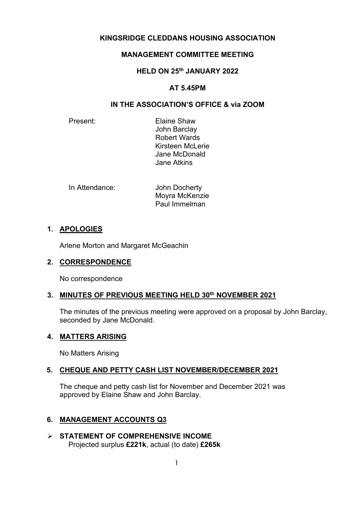# **KINGSRIDGE CLEDDANS HOUSING ASSOCIATION**

# **MANAGEMENT COMMITTEE MEETING**

# **HELD ON 25th JANUARY 2022**

# **AT 5.45PM**

# **IN THE ASSOCIATION'S OFFICE & via ZOOM**

Present: Elaine Shaw John Barclay Robert Wards Kirsteen McLerie Jane McDonald Jane Atkins

| In Attendance: | John Docherty  |
|----------------|----------------|
|                | Moyra McKenzie |
|                | Paul Immelman  |

# **1. APOLOGIES**

Arlene Morton and Margaret McGeachin

### **2. CORRESPONDENCE**

No correspondence

### **3. MINUTES OF PREVIOUS MEETING HELD 30th NOVEMBER 2021**

The minutes of the previous meeting were approved on a proposal by John Barclay, seconded by Jane McDonald.

### **4. MATTERS ARISING**

No Matters Arising

### **5. CHEQUE AND PETTY CASH LIST NOVEMBER/DECEMBER 2021**

The cheque and petty cash list for November and December 2021 was approved by Elaine Shaw and John Barclay.

### **6. MANAGEMENT ACCOUNTS Q3**

 **STATEMENT OF COMPREHENSIVE INCOME** Projected surplus **£221k**, actual (to date) **£265k**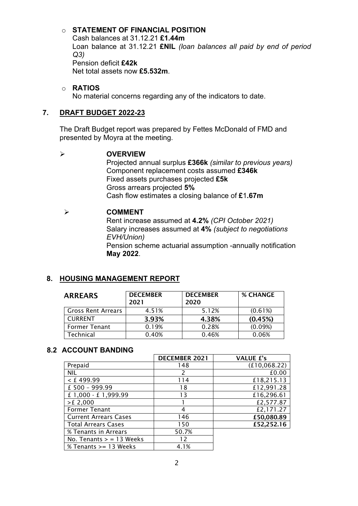# o **STATEMENT OF FINANCIAL POSITION**

Cash balances at 31.12.21 **£1.44m** Loan balance at 31.12.21 **£NIL** *(loan balances all paid by end of period Q3)* Pension deficit **£42k** Net total assets now **£5.532m**.

#### o **RATIOS**

No material concerns regarding any of the indicators to date.

### **7. DRAFT BUDGET 2022-23**

The Draft Budget report was prepared by Fettes McDonald of FMD and presented by Moyra at the meeting.

#### **OVERVIEW**

Projected annual surplus **£366k** *(similar to previous years)* Component replacement costs assumed **£346k** Fixed assets purchases projected **£5k** Gross arrears projected **5%** Cash flow estimates a closing balance of **£**1**.67m**

#### **COMMENT**

Rent increase assumed at **4.2%** *(CPI October 2021)* Salary increases assumed at **4%** *(subject to negotiations EVH/Union)* Pension scheme actuarial assumption -annually notification

**May 2022**.

# **8. HOUSING MANAGEMENT REPORT**

| <b>ARREARS</b>            | <b>DECEMBER</b><br>2021 | <b>DECEMBER</b><br>2020 | <b>% CHANGE</b> |
|---------------------------|-------------------------|-------------------------|-----------------|
| <b>Gross Rent Arrears</b> | 4.51%                   | 5.12%                   | (0.61%)         |
| <b>CURRENT</b>            | 3.93%                   | 4.38%                   | (0.45%)         |
| <b>Former Tenant</b>      | 0.19%                   | 0.28%                   | (0.09%)         |
| Technical                 | 0.40%                   | 0.46%                   | 0.06%           |

### **8.2 ACCOUNT BANDING**

|                              | <b>DECEMBER 2021</b> | <b>VALUE £'s</b> |
|------------------------------|----------------------|------------------|
| Prepaid                      | 148                  | (f10,068.22)     |
| <b>NIL</b>                   | $\mathcal{P}$        | £0.00            |
| $<$ £ 499.99                 | 114                  | £18,215.13       |
| £ 500 - 999.99               | 18                   | £12,991.28       |
| £ 1,000 - £ 1,999.99         | 13                   | £16,296.61       |
| $>E$ 2,000                   |                      | £2,577.87        |
| <b>Former Tenant</b>         | 4                    | £2,171.27        |
| <b>Current Arrears Cases</b> | 146                  | £50,080.89       |
| <b>Total Arrears Cases</b>   | 150                  | £52,252.16       |
| % Tenants in Arrears         | 50.7%                |                  |
| No. Tenants $>$ = 13 Weeks   | 12                   |                  |
| % Tenants >= 13 Weeks        | 4.1%                 |                  |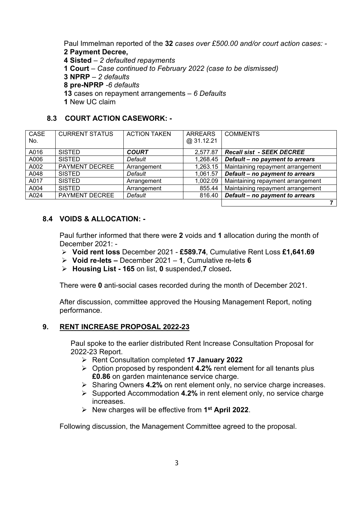Paul Immelman reported of the **32** *cases over £500.00 and/or court action cases: -* **2 Payment Decree,** 

**4 Sisted** – *2 defaulted repayments*

**1 Court** – *Case continued to February 2022 (case to be dismissed)*

**3 NPRP** – *2 defaults*

- **8 pre-NPRP** *-6 defaults*
- **13** cases on repayment arrangements *6 Defaults*
- **1** New UC claim

# **8.3 COURT ACTION CASEWORK: -**

| <b>CASE</b><br>No. | <b>CURRENT STATUS</b> | <b>ACTION TAKEN</b> | <b>ARREARS</b><br>@31.12.21 | <b>COMMENTS</b>                   |
|--------------------|-----------------------|---------------------|-----------------------------|-----------------------------------|
| A016               | <b>SISTED</b>         | <b>COURT</b>        | 2.577.87                    | <b>Recall sist - SEEK DECREE</b>  |
| A006               | <b>SISTED</b>         | Default             | 1,268.45                    | Default - no payment to arrears   |
| A002               | <b>PAYMENT DECREE</b> | Arrangement         | 1,263.15                    | Maintaining repayment arrangement |
| A048               | <b>SISTED</b>         | Default             | 1,061.57                    | Default - no payment to arrears   |
| A017               | <b>SISTED</b>         | Arrangement         | 1,002.09                    | Maintaining repayment arrangement |
| A004               | <b>SISTED</b>         | Arrangement         | 855.44                      | Maintaining repayment arrangement |
| A024               | <b>PAYMENT DECREE</b> | Default             | 816.40                      | Default - no payment to arrears   |
|                    |                       |                     |                             |                                   |

# **8.4 VOIDS & ALLOCATION: -**

Paul further informed that there were **2** voids and **1** allocation during the month of December 2021: -

- **Void rent loss** December 2021 **£589.74**, Cumulative Rent Loss **£1,641.69**
- **Void re-lets –** December 2021 **1**, Cumulative re-lets **6**
- **Housing List - 165** on list, **0** suspended,**7** closed**.**

There were **0** anti-social cases recorded during the month of December 2021.

After discussion, committee approved the Housing Management Report, noting performance.

### **9. RENT INCREASE PROPOSAL 2022-23**

Paul spoke to the earlier distributed Rent Increase Consultation Proposal for 2022-23 Report.

- Rent Consultation completed **17 January 2022**
- Option proposed by respondent **4.2%** rent element for all tenants plus **£0.86** on garden maintenance service charge.
- Sharing Owners **4.2%** on rent element only, no service charge increases.
- Supported Accommodation **4.2%** in rent element only, no service charge increases.
- New charges will be effective from **1st April 2022**.

Following discussion, the Management Committee agreed to the proposal.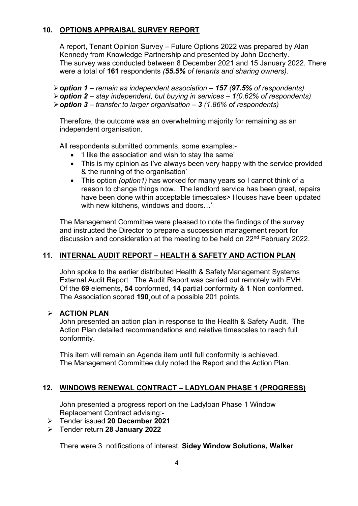# **10. OPTIONS APPRAISAL SURVEY REPORT**

A report, Tenant Opinion Survey – Future Options 2022 was prepared by Alan Kennedy from Knowledge Partnership and presented by John Docherty. The survey was conducted between 8 December 2021 and 15 January 2022. There were a total of **161** respondents *(55.5% of tenants and sharing owners).*

*option 1 – remain as independent association – 157 (97.5% of respondents) option 2 – stay independent, but buying in services – 1(0.62% of respondents) option 3 – transfer to larger organisation – 3 (1.86% of respondents)*

Therefore, the outcome was an overwhelming majority for remaining as an independent organisation.

All respondents submitted comments, some examples:-

- 'I like the association and wish to stay the same'
- This is my opinion as I've always been very happy with the service provided & the running of the organisation'
- This option *(option1)* has worked for many years so I cannot think of a reason to change things now. The landlord service has been great, repairs have been done within acceptable timescales> Houses have been updated with new kitchens, windows and doors…'

The Management Committee were pleased to note the findings of the survey and instructed the Director to prepare a succession management report for discussion and consideration at the meeting to be held on 22<sup>nd</sup> February 2022.

# **11. INTERNAL AUDIT REPORT – HEALTH & SAFETY AND ACTION PLAN**

John spoke to the earlier distributed Health & Safety Management Systems External Audit Report. The Audit Report was carried out remotely with EVH. Of the **69** elements, **54** conformed, **14** partial conformity & **1** Non conformed. The Association scored **190**¸out of a possible 201 points.

### **ACTION PLAN**

John presented an action plan in response to the Health & Safety Audit. The Action Plan detailed recommendations and relative timescales to reach full conformity.

This item will remain an Agenda item until full conformity is achieved. The Management Committee duly noted the Report and the Action Plan.

### **12. WINDOWS RENEWAL CONTRACT – LADYLOAN PHASE 1 (PROGRESS)**

John presented a progress report on the Ladyloan Phase 1 Window Replacement Contract advising:-

- Tender issued **20 December 2021**
- Tender return **28 January 2022**

There were 3 notifications of interest, **Sidey Window Solutions, Walker**